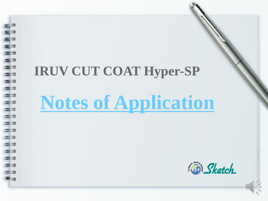# **IRUV CUT COAT Hyper-SP**

# **Notes of Application**

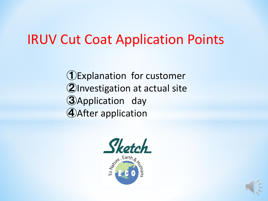Explanation for customer Investigation at actual site Application day After application



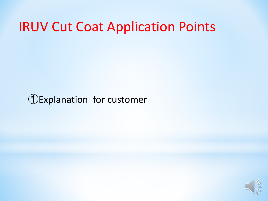①Explanation for customer

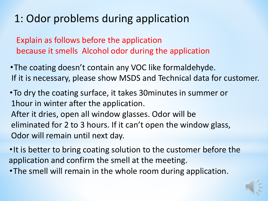### 1: Odor problems during application

Explain as follows before the application because it smells Alcohol odor during the application

- ・The coating doesn't contain any VOC like formaldehyde. If it is necessary, please show MSDS and Technical data for customer.
- ・To dry the coating surface, it takes 30minutes in summer or 1hour in winter after the application. After it dries, open all window glasses. Odor will be eliminated for 2 to 3 hours. If it can't open the window glass, Odor will remain until next day.
- ・It is better to bring coating solution to the customer before the application and confirm the smell at the meeting.
- ・The smell will remain in the whole room during application.

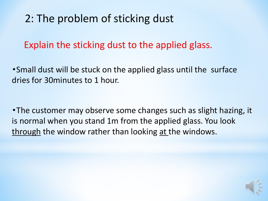### 2: The problem of sticking dust

Explain the sticking dust to the applied glass.

・Small dust will be stuck on the applied glass until the surface dries for 30minutes to 1 hour.

・The customer may observe some changes such as slight hazing, it is normal when you stand 1m from the applied glass. You look through the window rather than looking at the windows.

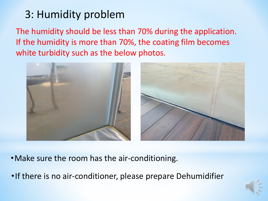### 3: Humidity problem

The humidity should be less than 70% during the application. If the humidity is more than 70%, the coating film becomes white turbidity such as the below photos.



- ・Make sure the room has the air-conditioning.
- ・If there is no air-conditioner, please prepare Dehumidifier

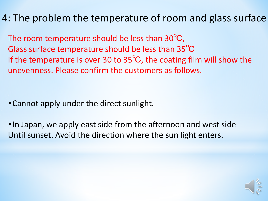#### 4: The problem the temperature of room and glass surface

The room temperature should be less than 30<sup>°</sup>C, Glass surface temperature should be less than 35℃ If the temperature is over 30 to  $35^{\circ}$ C, the coating film will show the unevenness. Please confirm the customers as follows.

・Cannot apply under the direct sunlight.

・In Japan, we apply east side from the afternoon and west side Until sunset. Avoid the direction where the sun light enters.

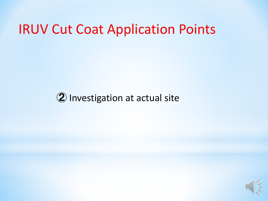② Investigation at actual site

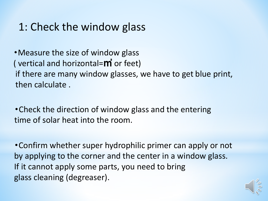#### 1: Check the window glass

・Measure the size of window glass ( vertical and horizontal= $m^2$  or feet) if there are many window glasses, we have to get blue print, then calculate .

・Check the direction of window glass and the entering time of solar heat into the room.

・Confirm whether super hydrophilic primer can apply or not by applying to the corner and the center in a window glass. If it cannot apply some parts, you need to bring glass cleaning (degreaser).

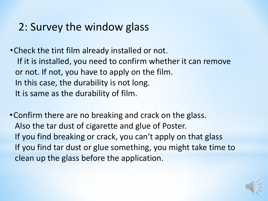#### 2: Survey the window glass

・Check the tint film already installed or not. If it is installed, you need to confirm whether it can remove or not. If not, you have to apply on the film. In this case, the durability is not long. It is same as the durability of film.

・Confirm there are no breaking and crack on the glass. Also the tar dust of cigarette and glue of Poster. If you find breaking or crack, you can't apply on that glass If you find tar dust or glue something, you might take time to clean up the glass before the application.

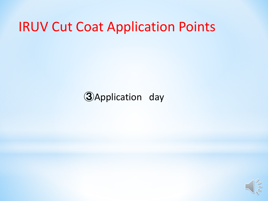③Application day

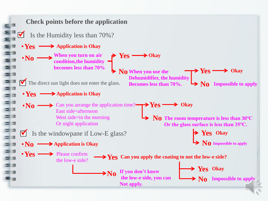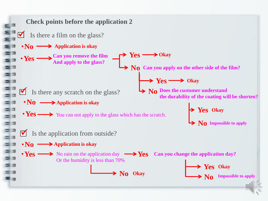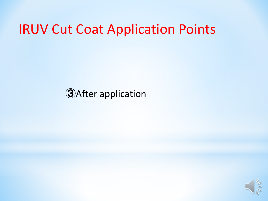#### ③After application